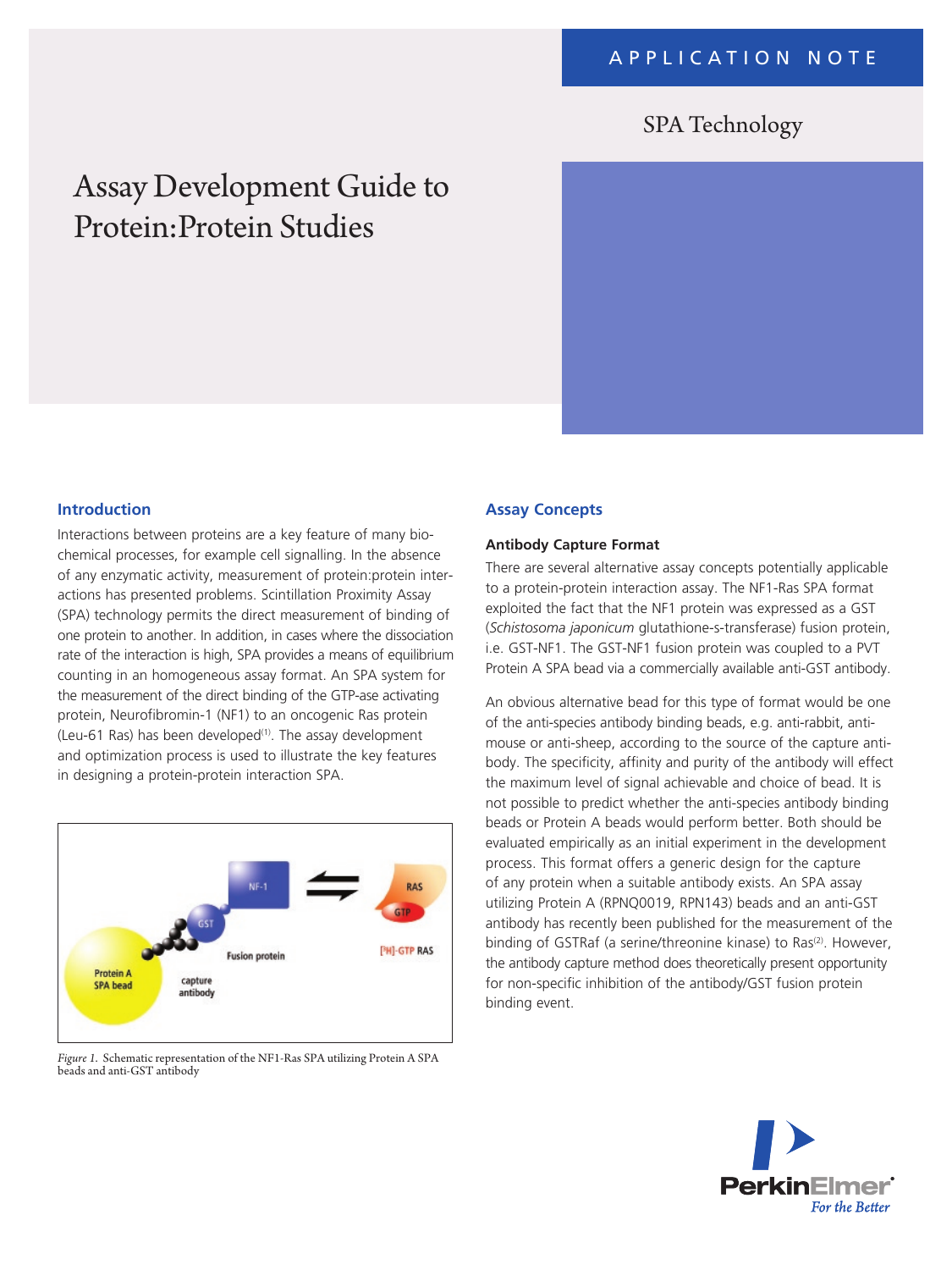# SPA Technology

# Assay Development Guide to Protein:Protein Studies



#### **Introduction**

Interactions between proteins are a key feature of many biochemical processes, for example cell signalling. In the absence of any enzymatic activity, measurement of protein:protein interactions has presented problems. Scintillation Proximity Assay (SPA) technology permits the direct measurement of binding of one protein to another. In addition, in cases where the dissociation rate of the interaction is high, SPA provides a means of equilibrium counting in an homogeneous assay format. An SPA system for the measurement of the direct binding of the GTP-ase activating protein, Neurofibromin-1 (NF1) to an oncogenic Ras protein (Leu-61 Ras) has been developed $(1)$ . The assay development and optimization process is used to illustrate the key features in designing a protein-protein interaction SPA.



*Figure 1*. Schematic representation of the NF1-Ras SPA utilizing Protein A SPA beads and anti-GST antibody

#### **Assay Concepts**

#### **Antibody Capture Format**

There are several alternative assay concepts potentially applicable to a protein-protein interaction assay. The NF1-Ras SPA format exploited the fact that the NF1 protein was expressed as a GST (*Schistosoma japonicum* glutathione-s-transferase) fusion protein, i.e. GST-NF1. The GST-NF1 fusion protein was coupled to a PVT Protein A SPA bead via a commercially available anti-GST antibody.

An obvious alternative bead for this type of format would be one of the anti-species antibody binding beads, e.g. anti-rabbit, antimouse or anti-sheep, according to the source of the capture antibody. The specificity, affinity and purity of the antibody will effect the maximum level of signal achievable and choice of bead. It is not possible to predict whether the anti-species antibody binding beads or Protein A beads would perform better. Both should be evaluated empirically as an initial experiment in the development process. This format offers a generic design for the capture of any protein when a suitable antibody exists. An SPA assay utilizing Protein A (RPNQ0019, RPN143) beads and an anti-GST antibody has recently been published for the measurement of the binding of GSTRaf (a serine/threonine kinase) to Ras<sup>(2)</sup>. However, the antibody capture method does theoretically present opportunity for non-specific inhibition of the antibody/GST fusion protein binding event.

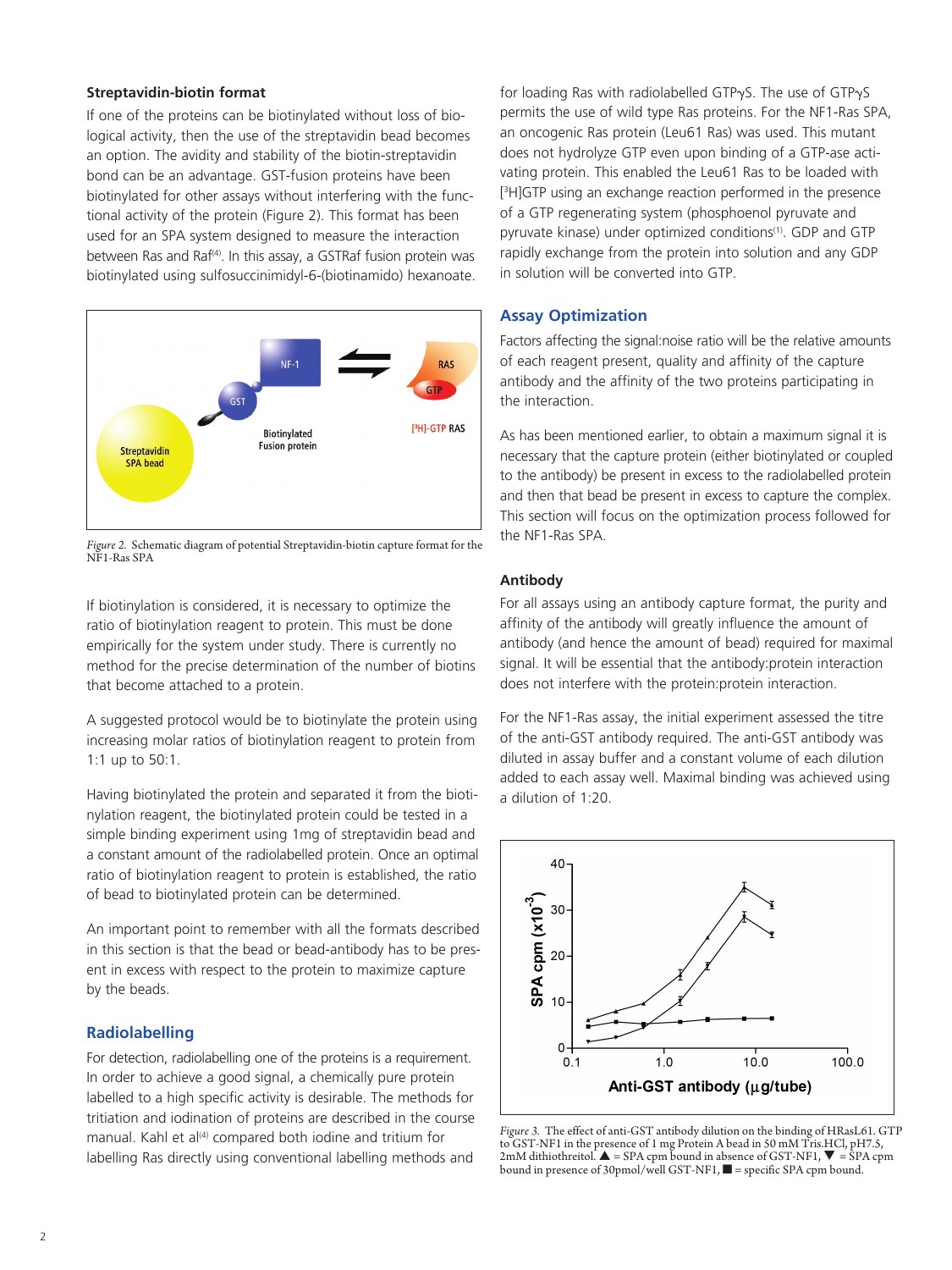#### **Streptavidin-biotin format**

If one of the proteins can be biotinylated without loss of biological activity, then the use of the streptavidin bead becomes an option. The avidity and stability of the biotin-streptavidin bond can be an advantage. GST-fusion proteins have been biotinylated for other assays without interfering with the functional activity of the protein (Figure 2). This format has been used for an SPA system designed to measure the interaction between Ras and Raf<sup>(4)</sup>. In this assay, a GSTRaf fusion protein was biotinylated using sulfosuccinimidyl-6-(biotinamido) hexanoate.



*Figure 2.* Schematic diagram of potential Streptavidin-biotin capture format for the NF1-Ras SPA

If biotinylation is considered, it is necessary to optimize the ratio of biotinylation reagent to protein. This must be done empirically for the system under study. There is currently no method for the precise determination of the number of biotins that become attached to a protein.

A suggested protocol would be to biotinylate the protein using increasing molar ratios of biotinylation reagent to protein from 1:1 up to 50:1.

Having biotinylated the protein and separated it from the biotinylation reagent, the biotinylated protein could be tested in a simple binding experiment using 1mg of streptavidin bead and a constant amount of the radiolabelled protein. Once an optimal ratio of biotinylation reagent to protein is established, the ratio of bead to biotinylated protein can be determined.

An important point to remember with all the formats described in this section is that the bead or bead-antibody has to be present in excess with respect to the protein to maximize capture by the beads.

## **Radiolabelling**

For detection, radiolabelling one of the proteins is a requirement. In order to achieve a good signal, a chemically pure protein labelled to a high specific activity is desirable. The methods for tritiation and iodination of proteins are described in the course manual. Kahl et al<sup>(4)</sup> compared both iodine and tritium for labelling Ras directly using conventional labelling methods and

for loading Ras with radiolabelled GTP $\gamma$ S. The use of GTP $\gamma$ S permits the use of wild type Ras proteins. For the NF1-Ras SPA, an oncogenic Ras protein (Leu61 Ras) was used. This mutant does not hydrolyze GTP even upon binding of a GTP-ase activating protein. This enabled the Leu61 Ras to be loaded with [ 3 H]GTP using an exchange reaction performed in the presence of a GTP regenerating system (phosphoenol pyruvate and pyruvate kinase) under optimized conditions<sup>(1)</sup>. GDP and GTP rapidly exchange from the protein into solution and any GDP in solution will be converted into GTP.

# **Assay Optimization**

Factors affecting the signal:noise ratio will be the relative amounts of each reagent present, quality and affinity of the capture antibody and the affinity of the two proteins participating in the interaction.

As has been mentioned earlier, to obtain a maximum signal it is necessary that the capture protein (either biotinylated or coupled to the antibody) be present in excess to the radiolabelled protein and then that bead be present in excess to capture the complex. This section will focus on the optimization process followed for the NF1-Ras SPA.

# **Antibody**

For all assays using an antibody capture format, the purity and affinity of the antibody will greatly influence the amount of antibody (and hence the amount of bead) required for maximal signal. It will be essential that the antibody:protein interaction does not interfere with the protein:protein interaction.

For the NF1-Ras assay, the initial experiment assessed the titre of the anti-GST antibody required. The anti-GST antibody was diluted in assay buffer and a constant volume of each dilution added to each assay well. Maximal binding was achieved using a dilution of 1:20.



*Figure 3.* The effect of anti-GST antibody dilution on the binding of HRasL61. GTP to GST-NF1 in the presence of 1 mg Protein A bead in 50 mM Tris.HCl, pH7.5,<br>2mM dithiothreitol. ▲ = SPA cpm bound in absence of GST-NF1, ▼ = SPA cpm bound in presence of 30pmol/well GST-NF1,  $\blacksquare$  = specific SPA cpm bound.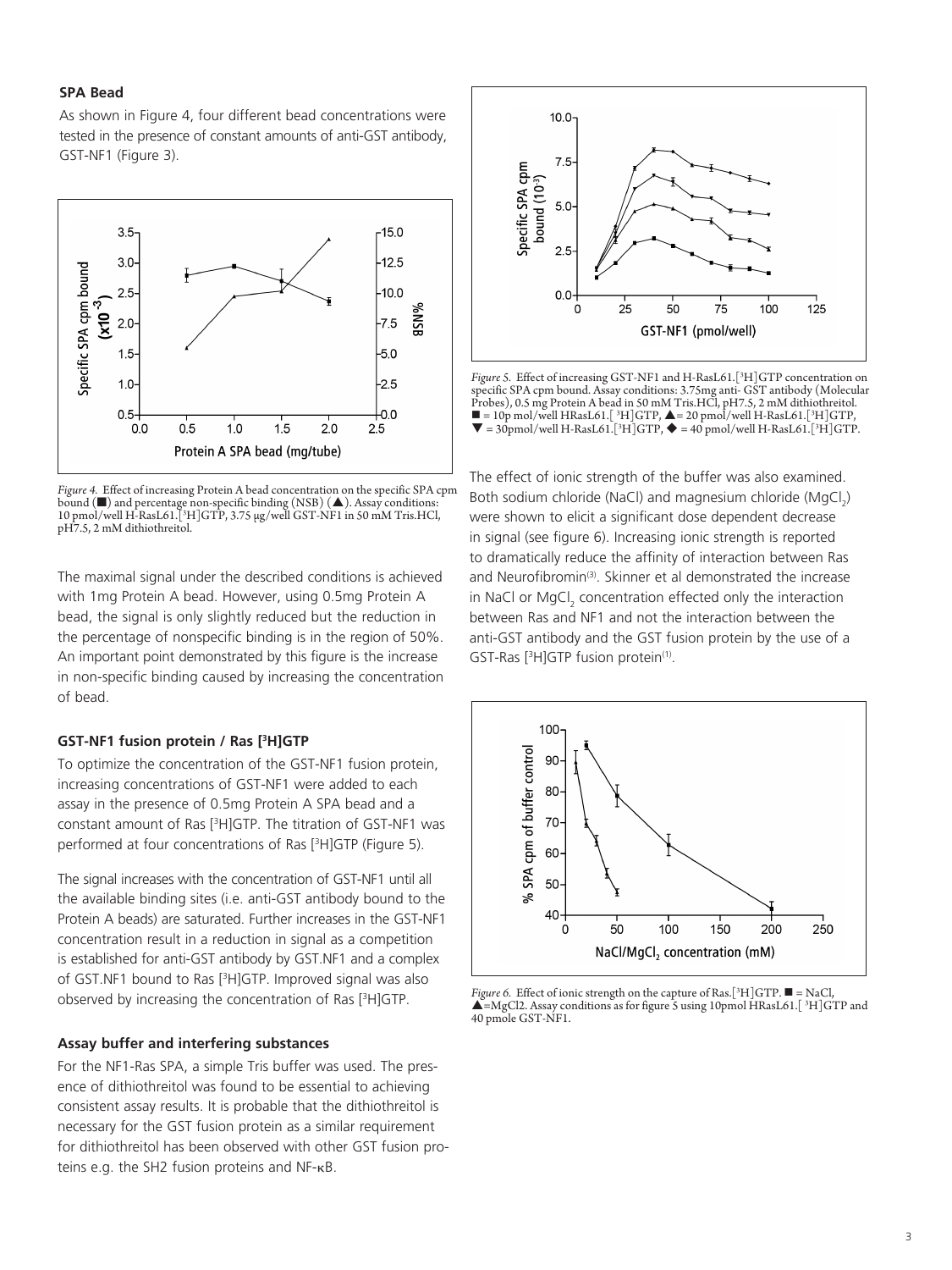#### **SPA Bead**

As shown in Figure 4, four different bead concentrations were tested in the presence of constant amounts of anti-GST antibody, GST-NF1 (Figure 3).



*Figure 4.* Effect of increasing Protein A bead concentration on the specific SPA cpm bound  $(\blacksquare)$  and percentage non-specific binding (NSB)  $(\blacktriangle)$ . Assay conditions: 10 pmol/well H-RasL61.[3 H]GTP, 3.75 μg/well GST-NF1 in 50 mM Tris.HCl, pH7.5, 2 mM dithiothreitol.

The maximal signal under the described conditions is achieved with 1mg Protein A bead. However, using 0.5mg Protein A bead, the signal is only slightly reduced but the reduction in the percentage of nonspecific binding is in the region of 50%. An important point demonstrated by this figure is the increase in non-specific binding caused by increasing the concentration of bead.

#### **GST-NF1 fusion protein / Ras [3 H]GTP**

To optimize the concentration of the GST-NF1 fusion protein, increasing concentrations of GST-NF1 were added to each assay in the presence of 0.5mg Protein A SPA bead and a constant amount of Ras [3 H]GTP. The titration of GST-NF1 was performed at four concentrations of Ras [3 H]GTP (Figure 5).

The signal increases with the concentration of GST-NF1 until all the available binding sites (i.e. anti-GST antibody bound to the Protein A beads) are saturated. Further increases in the GST-NF1 concentration result in a reduction in signal as a competition is established for anti-GST antibody by GST.NF1 and a complex of GST.NF1 bound to Ras [3 H]GTP. Improved signal was also observed by increasing the concentration of Ras [3 H]GTP.

#### **Assay buffer and interfering substances**

For the NF1-Ras SPA, a simple Tris buffer was used. The presence of dithiothreitol was found to be essential to achieving consistent assay results. It is probable that the dithiothreitol is necessary for the GST fusion protein as a similar requirement for dithiothreitol has been observed with other GST fusion proteins e.g. the SH2 fusion proteins and NF-kB.



*Figure 5.* Effect of increasing GST-NF1 and H-RasL61.[3 H]GTP concentration on specific SPA cpm bound. Assay conditions: 3.75mg anti- GST antibody (Molecular Probes), 0.5 mg Protein A bead in 50 mM Tris.HCl, pH7.5, 2 mM dithiothreitol.  $\blacksquare$  = 10p mol/well HRasL61.[ <sup>3</sup>H]GTP,  $\blacktriangle$  = 20 pmol/well H-RasL61.[<sup>3</sup>H]GTP,<br> $\blacktriangledown$  = 30pmol/well H-RasL61.[<sup>3</sup>H]GTP,  $\blacklozenge$  = 40 pmol/well H-RasL61.[<sup>3</sup>H]GTP.

The effect of ionic strength of the buffer was also examined. Both sodium chloride (NaCl) and magnesium chloride (MgCl<sub>2</sub>) were shown to elicit a significant dose dependent decrease in signal (see figure 6). Increasing ionic strength is reported to dramatically reduce the affinity of interaction between Ras and Neurofibromin<sup>(3)</sup>. Skinner et al demonstrated the increase in NaCl or MgCl<sub>2</sub> concentration effected only the interaction between Ras and NF1 and not the interaction between the anti-GST antibody and the GST fusion protein by the use of a GST-Ras [<sup>3</sup>H]GTP fusion protein<sup>(1)</sup>.



*Figure 6.* Effect of ionic strength on the capture of Ras.[<sup>3</sup>H]GTP. ■ = NaCl,<br>▲=MgCl2. Assay conditions as for figure 5 using 10pmol HRasL61.[<sup>3</sup>H]GTP and 40 pmole GST-NF1.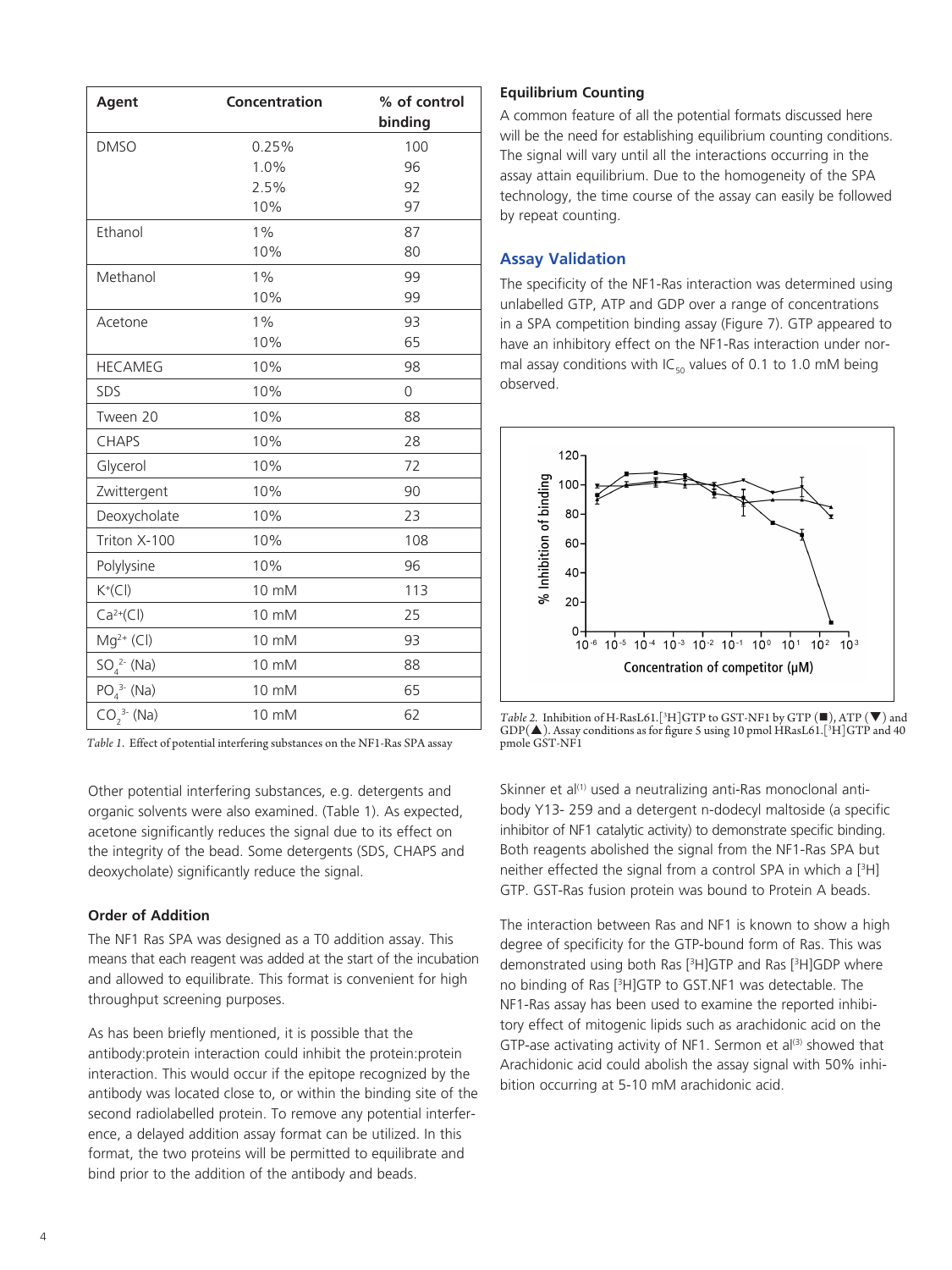| Agent            | Concentration | % of control<br>binding |
|------------------|---------------|-------------------------|
| <b>DMSO</b>      | 0.25%         | 100                     |
|                  | 1.0%          | 96                      |
|                  | 2.5%          | 92                      |
|                  | 10%           | 97                      |
| Ethanol          | $1\%$         | 87                      |
|                  | 10%           | 80                      |
| Methanol         | 1%            | 99                      |
|                  | 10%           | 99                      |
| Acetone          | $1\%$         | 93                      |
|                  | 10%           | 65                      |
| <b>HECAMEG</b>   | 10%           | 98                      |
| SDS              | 10%           | 0                       |
| Tween 20         | 10%           | 88                      |
| <b>CHAPS</b>     | 10%           | 28                      |
| Glycerol         | 10%           | 72                      |
| Zwittergent      | 10%           | 90                      |
| Deoxycholate     | 10%           | 23                      |
| Triton X-100     | 10%           | 108                     |
| Polylysine       | 10%           | 96                      |
| $K^+(Cl)$        | 10 mM         | 113                     |
| $Ca^{2+}(Cl)$    | 10 mM         | 25                      |
| $Mg^{2+}$ (Cl)   | 10 mM         | 93                      |
| $SO_4^{2-}$ (Na) | 10 mM         | 88                      |
| $PO_4^{3-}$ (Na) | 10 mM         | 65                      |
| $CO_2^{3}$ (Na)  | 10 mM         | 62                      |

*Table 1*. Effect of potential interfering substances on the NF1-Ras SPA assay

Other potential interfering substances, e.g. detergents and organic solvents were also examined. (Table 1). As expected, acetone significantly reduces the signal due to its effect on the integrity of the bead. Some detergents (SDS, CHAPS and deoxycholate) significantly reduce the signal.

#### **Order of Addition**

The NF1 Ras SPA was designed as a T0 addition assay. This means that each reagent was added at the start of the incubation and allowed to equilibrate. This format is convenient for high throughput screening purposes.

As has been briefly mentioned, it is possible that the antibody:protein interaction could inhibit the protein:protein interaction. This would occur if the epitope recognized by the antibody was located close to, or within the binding site of the second radiolabelled protein. To remove any potential interference, a delayed addition assay format can be utilized. In this format, the two proteins will be permitted to equilibrate and bind prior to the addition of the antibody and beads.

### **Equilibrium Counting**

A common feature of all the potential formats discussed here will be the need for establishing equilibrium counting conditions. The signal will vary until all the interactions occurring in the assay attain equilibrium. Due to the homogeneity of the SPA technology, the time course of the assay can easily be followed by repeat counting.

# **Assay Validation**

The specificity of the NF1-Ras interaction was determined using unlabelled GTP, ATP and GDP over a range of concentrations in a SPA competition binding assay (Figure 7). GTP appeared to have an inhibitory effect on the NF1-Ras interaction under normal assay conditions with IC $_{50}$  values of 0.1 to 1.0 mM being observed.



*Table 2.* Inhibition of H-RasL61.[<sup>3</sup>H]GTP to GST-NF1 by GTP  $(\blacksquare)$ , ATP  $(\blacktriangledown)$  and  $\mathrm{GDP}(\blacktriangle)$ . Assay conditions as for figure 5 using 10 pmol HRasL61.[3H]GTP and 40 pmole GST-NF1

Skinner et al<sup>(1)</sup> used a neutralizing anti-Ras monoclonal antibody Y13- 259 and a detergent n-dodecyl maltoside (a specific inhibitor of NF1 catalytic activity) to demonstrate specific binding. Both reagents abolished the signal from the NF1-Ras SPA but neither effected the signal from a control SPA in which a [3 H] GTP. GST-Ras fusion protein was bound to Protein A beads.

The interaction between Ras and NF1 is known to show a high degree of specificity for the GTP-bound form of Ras. This was demonstrated using both Ras [3 H]GTP and Ras [3 H]GDP where no binding of Ras [3 H]GTP to GST.NF1 was detectable. The NF1-Ras assay has been used to examine the reported inhibitory effect of mitogenic lipids such as arachidonic acid on the GTP-ase activating activity of NF1. Sermon et  $al^{(3)}$  showed that Arachidonic acid could abolish the assay signal with 50% inhibition occurring at 5-10 mM arachidonic acid.